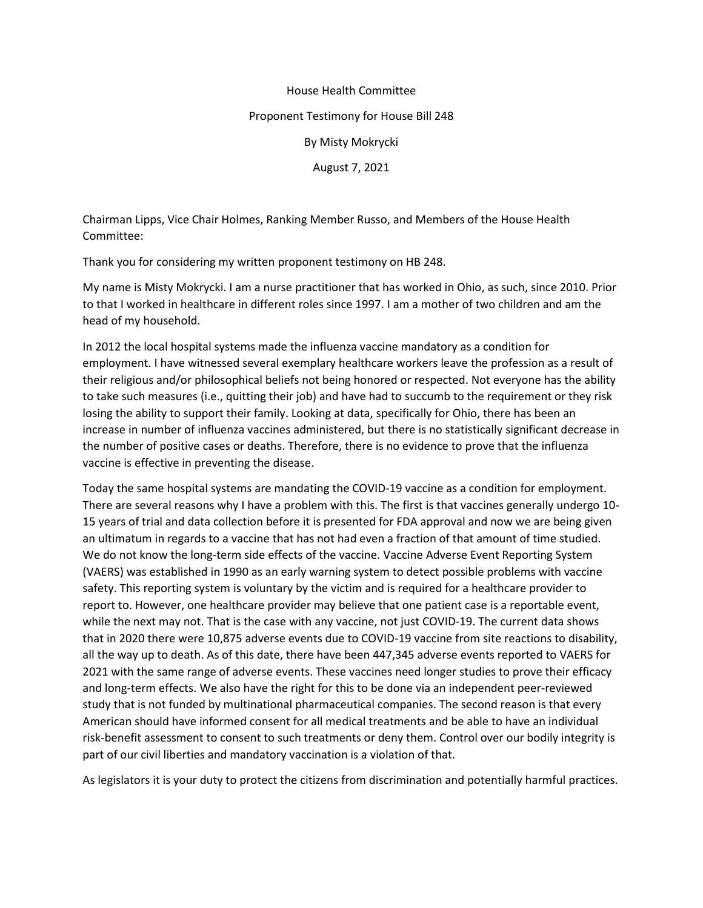## House Health Committee

## Proponent Testimony for House Bill 248

By Misty Mokrycki

August 7, 2021

Chairman Lipps, Vice Chair Holmes, Ranking Member Russo, and Members of the House Health Committee:

Thank you for considering my written proponent testimony on HB 248.

My name is Misty Mokrycki. I am a nurse practitioner that has worked in Ohio, as such, since 2010. Prior to that I worked in healthcare in different roles since 1997. I am a mother of two children and am the head of my household.

In 2012 the local hospital systems made the influenza vaccine mandatory as a condition for employment. I have witnessed several exemplary healthcare workers leave the profession as a result of their religious and/or philosophical beliefs not being honored or respected. Not everyone has the ability to take such measures (i.e., quitting their job) and have had to succumb to the requirement or they risk losing the ability to support their family. Looking at data, specifically for Ohio, there has been an increase in number of influenza vaccines administered, but there is no statistically significant decrease in the number of positive cases or deaths. Therefore, there is no evidence to prove that the influenza vaccine is effective in preventing the disease.

Today the same hospital systems are mandating the COVID-19 vaccine as a condition for employment. There are several reasons why I have a problem with this. The first is that vaccines generally undergo 10- 15 years of trial and data collection before it is presented for FDA approval and now we are being given an ultimatum in regards to a vaccine that has not had even a fraction of that amount of time studied. We do not know the long-term side effects of the vaccine. Vaccine Adverse Event Reporting System (VAERS) was established in 1990 as an early warning system to detect possible problems with vaccine safety. This reporting system is voluntary by the victim and is required for a healthcare provider to report to. However, one healthcare provider may believe that one patient case is a reportable event, while the next may not. That is the case with any vaccine, not just COVID-19. The current data shows that in 2020 there were 10,875 adverse events due to COVID-19 vaccine from site reactions to disability, all the way up to death. As of this date, there have been 447,345 adverse events reported to VAERS for 2021 with the same range of adverse events. These vaccines need longer studies to prove their efficacy and long-term effects. We also have the right for this to be done via an independent peer-reviewed study that is not funded by multinational pharmaceutical companies. The second reason is that every American should have informed consent for all medical treatments and be able to have an individual risk-benefit assessment to consent to such treatments or deny them. Control over our bodily integrity is part of our civil liberties and mandatory vaccination is a violation of that.

As legislators it is your duty to protect the citizens from discrimination and potentially harmful practices.